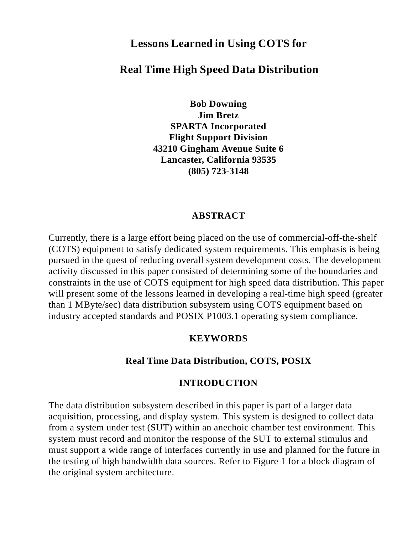# **Lessons Learned in Using COTS for**

# **Real Time High Speed Data Distribution**

**Bob Downing Jim Bretz SPARTA Incorporated Flight Support Division 43210 Gingham Avenue Suite 6 Lancaster, California 93535 (805) 723-3148**

#### **ABSTRACT**

Currently, there is a large effort being placed on the use of commercial-off-the-shelf (COTS) equipment to satisfy dedicated system requirements. This emphasis is being pursued in the quest of reducing overall system development costs. The development activity discussed in this paper consisted of determining some of the boundaries and constraints in the use of COTS equipment for high speed data distribution. This paper will present some of the lessons learned in developing a real-time high speed (greater than 1 MByte/sec) data distribution subsystem using COTS equipment based on industry accepted standards and POSIX P1003.1 operating system compliance.

### **KEYWORDS**

### **Real Time Data Distribution, COTS, POSIX**

#### **INTRODUCTION**

The data distribution subsystem described in this paper is part of a larger data acquisition, processing, and display system. This system is designed to collect data from a system under test (SUT) within an anechoic chamber test environment. This system must record and monitor the response of the SUT to external stimulus and must support a wide range of interfaces currently in use and planned for the future in the testing of high bandwidth data sources. Refer to Figure 1 for a block diagram of the original system architecture.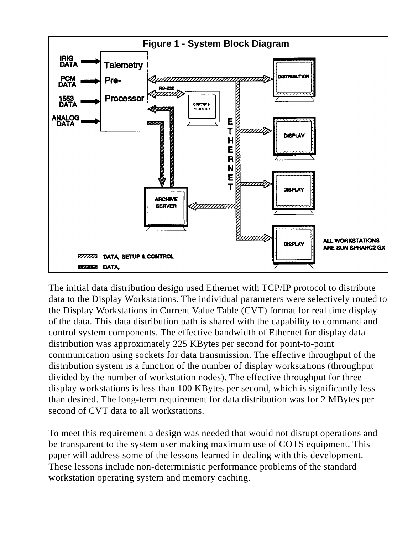

The initial data distribution design used Ethernet with TCP/IP protocol to distribute data to the Display Workstations. The individual parameters were selectively routed to the Display Workstations in Current Value Table (CVT) format for real time display of the data. This data distribution path is shared with the capability to command and control system components. The effective bandwidth of Ethernet for display data distribution was approximately 225 KBytes per second for point-to-point communication using sockets for data transmission. The effective throughput of the distribution system is a function of the number of display workstations (throughput divided by the number of workstation nodes). The effective throughput for three display workstations is less than 100 KBytes per second, which is significantly less than desired. The long-term requirement for data distribution was for 2 MBytes per second of CVT data to all workstations.

To meet this requirement a design was needed that would not disrupt operations and be transparent to the system user making maximum use of COTS equipment. This paper will address some of the lessons learned in dealing with this development. These lessons include non-deterministic performance problems of the standard workstation operating system and memory caching.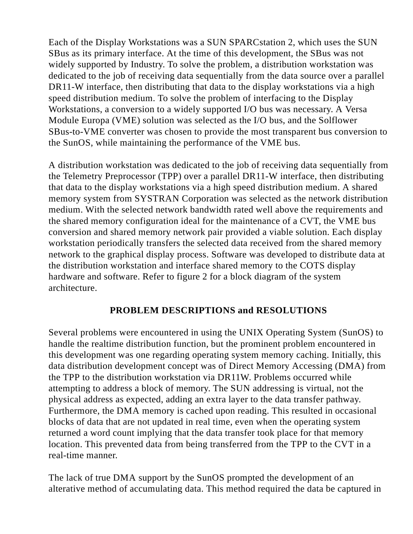Each of the Display Workstations was a SUN SPARCstation 2, which uses the SUN SBus as its primary interface. At the time of this development, the SBus was not widely supported by Industry. To solve the problem, a distribution workstation was dedicated to the job of receiving data sequentially from the data source over a parallel DR11-W interface, then distributing that data to the display workstations via a high speed distribution medium. To solve the problem of interfacing to the Display Workstations, a conversion to a widely supported I/O bus was necessary. A Versa Module Europa (VME) solution was selected as the I/O bus, and the Solflower SBus-to-VME converter was chosen to provide the most transparent bus conversion to the SunOS, while maintaining the performance of the VME bus.

A distribution workstation was dedicated to the job of receiving data sequentially from the Telemetry Preprocessor (TPP) over a parallel DR11-W interface, then distributing that data to the display workstations via a high speed distribution medium. A shared memory system from SYSTRAN Corporation was selected as the network distribution medium. With the selected network bandwidth rated well above the requirements and the shared memory configuration ideal for the maintenance of a CVT, the VME bus conversion and shared memory network pair provided a viable solution. Each display workstation periodically transfers the selected data received from the shared memory network to the graphical display process. Software was developed to distribute data at the distribution workstation and interface shared memory to the COTS display hardware and software. Refer to figure 2 for a block diagram of the system architecture.

## **PROBLEM DESCRIPTIONS and RESOLUTIONS**

Several problems were encountered in using the UNIX Operating System (SunOS) to handle the realtime distribution function, but the prominent problem encountered in this development was one regarding operating system memory caching. Initially, this data distribution development concept was of Direct Memory Accessing (DMA) from the TPP to the distribution workstation via DR11W. Problems occurred while attempting to address a block of memory. The SUN addressing is virtual, not the physical address as expected, adding an extra layer to the data transfer pathway. Furthermore, the DMA memory is cached upon reading. This resulted in occasional blocks of data that are not updated in real time, even when the operating system returned a word count implying that the data transfer took place for that memory location. This prevented data from being transferred from the TPP to the CVT in a real-time manner.

The lack of true DMA support by the SunOS prompted the development of an alterative method of accumulating data. This method required the data be captured in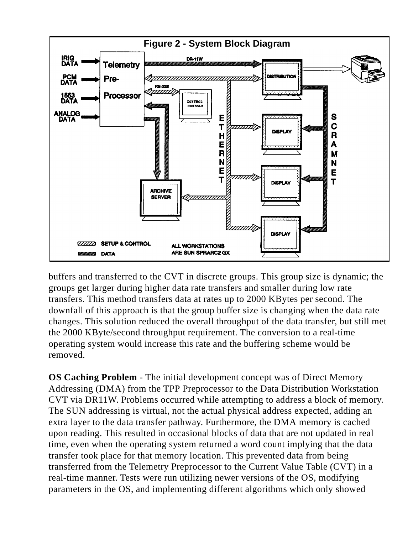

buffers and transferred to the CVT in discrete groups. This group size is dynamic; the groups get larger during higher data rate transfers and smaller during low rate transfers. This method transfers data at rates up to 2000 KBytes per second. The downfall of this approach is that the group buffer size is changing when the data rate changes. This solution reduced the overall throughput of the data transfer, but still met the 2000 KByte/second throughput requirement. The conversion to a real-time operating system would increase this rate and the buffering scheme would be removed.

**OS Caching Problem** - The initial development concept was of Direct Memory Addressing (DMA) from the TPP Preprocessor to the Data Distribution Workstation CVT via DR11W. Problems occurred while attempting to address a block of memory. The SUN addressing is virtual, not the actual physical address expected, adding an extra layer to the data transfer pathway. Furthermore, the DMA memory is cached upon reading. This resulted in occasional blocks of data that are not updated in real time, even when the operating system returned a word count implying that the data transfer took place for that memory location. This prevented data from being transferred from the Telemetry Preprocessor to the Current Value Table (CVT) in a real-time manner. Tests were run utilizing newer versions of the OS, modifying parameters in the OS, and implementing different algorithms which only showed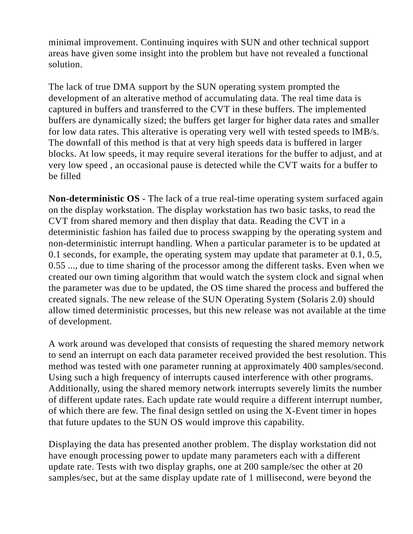minimal improvement. Continuing inquires with SUN and other technical support areas have given some insight into the problem but have not revealed a functional solution.

The lack of true DMA support by the SUN operating system prompted the development of an alterative method of accumulating data. The real time data is captured in buffers and transferred to the CVT in these buffers. The implemented buffers are dynamically sized; the buffers get larger for higher data rates and smaller for low data rates. This alterative is operating very well with tested speeds to lMB/s. The downfall of this method is that at very high speeds data is buffered in larger blocks. At low speeds, it may require several iterations for the buffer to adjust, and at very low speed , an occasional pause is detected while the CVT waits for a buffer to be filled

**Non-deterministic OS** - The lack of a true real-time operating system surfaced again on the display workstation. The display workstation has two basic tasks, to read the CVT from shared memory and then display that data. Reading the CVT in a deterministic fashion has failed due to process swapping by the operating system and non-deterministic interrupt handling. When a particular parameter is to be updated at 0.1 seconds, for example, the operating system may update that parameter at 0.1, 0.5, 0.55 ..., due to time sharing of the processor among the different tasks. Even when we created our own timing algorithm that would watch the system clock and signal when the parameter was due to be updated, the OS time shared the process and buffered the created signals. The new release of the SUN Operating System (Solaris 2.0) should allow timed deterministic processes, but this new release was not available at the time of development.

A work around was developed that consists of requesting the shared memory network to send an interrupt on each data parameter received provided the best resolution. This method was tested with one parameter running at approximately 400 samples/second. Using such a high frequency of interrupts caused interference with other programs. Additionally, using the shared memory network interrupts severely limits the number of different update rates. Each update rate would require a different interrupt number, of which there are few. The final design settled on using the X-Event timer in hopes that future updates to the SUN OS would improve this capability.

Displaying the data has presented another problem. The display workstation did not have enough processing power to update many parameters each with a different update rate. Tests with two display graphs, one at 200 sample/sec the other at 20 samples/sec, but at the same display update rate of 1 millisecond, were beyond the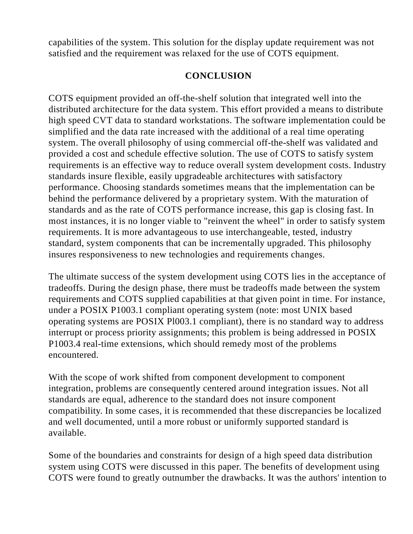capabilities of the system. This solution for the display update requirement was not satisfied and the requirement was relaxed for the use of COTS equipment.

## **CONCLUSION**

COTS equipment provided an off-the-shelf solution that integrated well into the distributed architecture for the data system. This effort provided a means to distribute high speed CVT data to standard workstations. The software implementation could be simplified and the data rate increased with the additional of a real time operating system. The overall philosophy of using commercial off-the-shelf was validated and provided a cost and schedule effective solution. The use of COTS to satisfy system requirements is an effective way to reduce overall system development costs. Industry standards insure flexible, easily upgradeable architectures with satisfactory performance. Choosing standards sometimes means that the implementation can be behind the performance delivered by a proprietary system. With the maturation of standards and as the rate of COTS performance increase, this gap is closing fast. In most instances, it is no longer viable to "reinvent the wheel" in order to satisfy system requirements. It is more advantageous to use interchangeable, tested, industry standard, system components that can be incrementally upgraded. This philosophy insures responsiveness to new technologies and requirements changes.

The ultimate success of the system development using COTS lies in the acceptance of tradeoffs. During the design phase, there must be tradeoffs made between the system requirements and COTS supplied capabilities at that given point in time. For instance, under a POSIX P1003.1 compliant operating system (note: most UNIX based operating systems are POSIX Pl003.1 compliant), there is no standard way to address interrupt or process priority assignments; this problem is being addressed in POSIX P1003.4 real-time extensions, which should remedy most of the problems encountered.

With the scope of work shifted from component development to component integration, problems are consequently centered around integration issues. Not all standards are equal, adherence to the standard does not insure component compatibility. In some cases, it is recommended that these discrepancies be localized and well documented, until a more robust or uniformly supported standard is available.

Some of the boundaries and constraints for design of a high speed data distribution system using COTS were discussed in this paper. The benefits of development using COTS were found to greatly outnumber the drawbacks. It was the authors' intention to